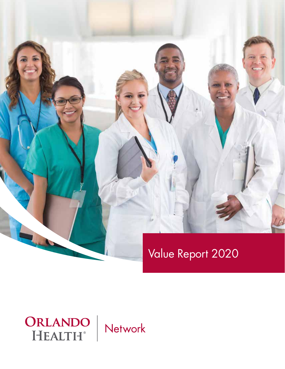

# Value Report 2020

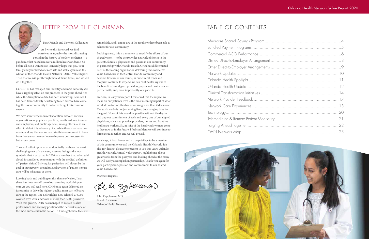John Cappleman, MD Board Chairman Orlando Health Network



## LETTER FROM THE CHAIRMAN

Dear Friends and Network Colleagues,

As I write this foreword, we find ourselves in arguably the most distressing period in the history of modern medicine — a pandemic that has taken over a million lives worldwide. So, before all else, I want to say I sincerely hope that you, your family and your loved ones are safe and well as you read this edition of the Orlando Health Network (OHN) Value Report. Trust that we will get through these difficult times, and we will do it together.

COVID-19 has reshaped our industry and most certainly will have a rippling effect on our practices in the years ahead. Yet, while the disruption to date has been unnerving, I can say it has been tremendously heartening to see how we have come together as a community to collectively fight this common enemy.

We have seen tremendous collaboration between various organizations — physician practices, health systems, insurers and employers, and public agencies, among others — in an effort to defeat this adversary. And while there may have been missteps along the way, we can take this as a moment to learn from those errors to continue to improve our processes for better outcomes.

Thus, as I reflect upon what undoubtedly has been the most challenging year of my career, it seems fitting and almost symbolic that it occurred in 2020 — a number that, when said aloud, is considered synonymous with the medical definition of "perfect vision." Striving for perfection will always be the goal of our network providers, and a vision of patient-centric care will be what gets us there.

Looking back and building on this theme of vision, I can share just how proud I am of our amazing work this past year. As you will read here, OHN once again delivered on its promise to drive the highest quality, most cost-effective care in the region. The network has now eclipsed 275,000 covered lives with a network of more than 5,000 providers. With this growth, OHN has managed to sustain its elite performance and securely positioned the network as one of the most successful in the nation. In hindsight, these feats are

remarkable, and I am in awe of the results we have been able to achieve for our community.

Looking ahead, this is a moment to amplify the efforts of our shared vision — to be the provider network of choice to the patients, families, physicians and payers in our community. In partnership with Orlando Health, OHN has differentiated itself as the leading organization delivering transformative, value-based care in the Central Florida community and beyond. Because of our results, as our clinical reach and footprint continue to expand, we can confidently say it is to the benefit of our aligned providers, payers and businesses we partner with, and, most importantly, our patients.

To close, in last year's report, I remarked that the impact we make on our patients' lives is the most meaningful part of what we all do — for me, this has never rung truer than it does now. The work we do is not just saving lives, but changing lives for the good. None of this would be possible without the day-in and day-out commitment of each and every one of our aligned physicians, advanced practice providers, nurses and frontline healthcare workers. So, in spite of the headwinds we may come to face now or in the future, I feel confident we will continue to forge ahead together, and we will prevail.

As always, it is an honor and a true privilege to be a member of this community we call the Orlando Health Network. It is also my distinct pleasure to present to you this year's Orlando Health Network Annual Value Report, highlighting all our great works from the past year and looking ahead at the many we will surely accomplish in partnership. Thank you again for your participation, passion and commitment to our shared value-based aims.

Warmest Regards,

The M Syleanancio

## TABLE OF CONTENTS

Medicare Shared Savings Program...... Bundled Payment Programs ................ Commercial ACO Performance........... Disney Direct-to-Employer Arrangement Other Direct-to-Employer Arrangements Network Updates............................... Orlando Health Spotlight .................... Orlando Health Update..................... Clinical Transformation Initiatives ......... Network Provider Feedback ............... Network Care Experiences................. Technology.............................................................................................20 Telemedicine & Remote Patient Monitoring Forging Ahead Together .................... OHN Network Map..........................

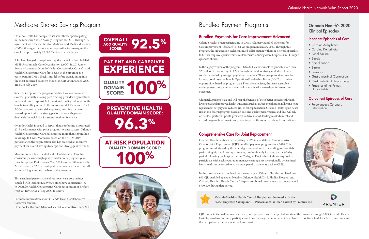# Medicare Shared Savings Program

Orlando Health has completed its seventh year participating in the Medicare Shared Savings Program (MSSP). Through its agreement with the Centers for Medicare and Medicaid Services (CMS), the organization is now responsible for managing the care for approximately 17,000 Medicare beneficiaries.

A lot has changed since pioneering the state's first hospital-led MSSP Accountable Care Organization (ACO) in 2013, now formally known as Orlando Health Collaborative Care. Orlando Health Collaborative Care first began in the program as a participant in CMS's Track 1 model before transitioning into the most advanced payment model, the MSSP Enhanced ACO Track, in July 2019.

**OVERALL ACO QUALITY** SCORE: **92.5<sup>%</sup> QUALITY DOMAIN**  EUALITY **100% PREVENTIVE HEALTH QUALITY DOMAIN SCORE: 96.3% EXPERIENCE PATIENT AND CAREGIVER**

Since its inception, the program models have continuously evolved, gradually making participating provider organizations more and more responsible for cost and quality outcomes of the beneficiaries they serve. In this newest model, Enhanced Track ACOs have even greater risk exposure, meaning increased reward opportunity for strong performance with greater downside financial risk for suboptimal performance.

Orlando Health is proud to report that, combining its prorated 2019 performance with prior program-to-date success, Orlando Health Collaborative Care has amassed more than \$30 million in savings to CMS. Moreover, based on the ACO's 2019 performance, the organization also has received an incentive payment for its cost savings to target and strong quality results.

**AT-RISK POPULATION QUALITY DOMAIN SCORE: 100%** 



# Bundled Payment Programs

 • Percutaneous Coronary Intervention





### Bundled Payments for Care Improvement Advanced

Orlando Health began participating in CMS's voluntary Bundled Payments for Care Improvement Advanced (BPCI-A) program in January 2020. Through this program, the organization seeks continued collaboration with its in-network specialists to further improve quality while simultaneously reducing overall expenses in 11 unique episodes of care.

In the legacy version of the program, Orlando Health was able to generate more than \$20 million in cost savings to CMS through the work of strong multidisciplinary collaboratives led by engaged physician champions. These groups routinely met in forums, now known as Bundle Operational Leadership Teams (BOLTs), to review opportunities based on program data. From these reviews, the teams were able to design new care pathways and establish enhanced partnerships for better care outcomes.

Ultimately, patients have and will reap the benefits of these better processes through lower costs and improved health outcomes, such as earlier mobilization following joint replacement surgery and reduced risk of rehospitalization. Orlando Health again bears risk in this federal program based on cost and quality performance, and thus will rely on its close partnership with providers to drive market-leading results to meet and exceed program benchmarks and, more importantly, collectively benefit our patients.

#### Orlando Health's 2020 Clinical Episodes

#### Inpatient Episodes of Care

- Cardiac Arrhythmia
- Cardiac Defibrillator
- Renal Failure
- Sepsis
- Spinal Fusion
- Stroke
- Seizures
- Gastrointestinal Obstruction
- Gastrointestinal Hemorrhage
- Fractures of the Femur, Hip or Pelvis

#### Outpatient Episodes of Care

#### Comprehensive Care for Joint Replacement

Orlando Health has been participating in CMS's mandatory Comprehensive Care for Joint Replacement (CJR) bundled payment program since 2018. This program was designed by the federal government to curb spending for hospitals performing hip and knee replacements, predominantly focusing on the 90-day period following the hospitalization. Today, all Florida hospitals are required to participate, with each required to manage costs against the regionally determined benchmarks or be forced to pay annual penalty payments back to CMS.

In the most recently completed performance year, Orlando Health completed over 900 CJR qualified episodes. Notably, Orlando Health Dr. P. Phillips Hospital and Orlando Health – Health Central Hospital combined saved more than an estimated \$700,000 during that period.



**Orlando Health – Health Central Hospital was honored with the "Most Improved Savings in CJR Performance" in Year 4 award by Premier, Inc.** 

CJR is now in its final performance year, but a proposed rule is expected to extend the program through 2023. Orlando Health looks forward to continued participation, however long that may be, as it is a chance to continue to deliver better outcomes and the best patient experiences at the lowest cost.

Most impressively, Orlando Health Collaborative Care has consistently earned high quality marks every program year since inception. Performance Year 2019 was no different, as the ACO received a 92.5 percent quality performance score overall, again making it among the best in the program.

This sustained performance of year over year cost savings coupled with leading quality outcomes have consistently led to Orlando Health Collaborative Care's recognition in *Becker's Hospital* Review as a "Top ACO to Know."

For more information about Orlando Health Collaborative Care, you can visit: [OrlandoHealth.com/Orlando-Health-Collaborative-Care-ACO.](http://OrlandoHealth.com/Orlando-Health-Collaborative-Care-ACO)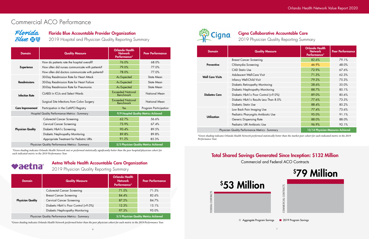| <b>Domain</b>                                   | <b>Quality Measure</b>                             | <b>Orlando Health</b><br><b>Network</b><br>Performance* | <b>Peer Performance</b>               |  |
|-------------------------------------------------|----------------------------------------------------|---------------------------------------------------------|---------------------------------------|--|
|                                                 | How do patients rate the hospital overall?         | 76.0%                                                   | 68.0%                                 |  |
| <b>Experience</b>                               | How often did nurses communicate with patients?    | 79.0%                                                   | 77.0%                                 |  |
|                                                 | How often did doctors communicate with patients?   | 78.0%                                                   | 77.0%                                 |  |
| <b>Readmissions</b>                             | 30-Day Readmission Rate for Heart Attack           | As Expected                                             | <b>State Mean</b>                     |  |
|                                                 | 30-Day Readmission Rate for Heart Failure          | As Expected                                             | <b>State Mean</b>                     |  |
|                                                 | 30-Day Readmission Rate for Pneumonia              | As Expected                                             | <b>State Mean</b>                     |  |
| <b>Infection Rate</b>                           | <b>CLABSI</b> in ICU <sub>s</sub> and Select Wards | <b>Exceeded National</b><br><b>Benchmark</b>            | <b>National Mean</b>                  |  |
|                                                 | Surgical Site Infections from Colon Surgery        | <b>Exceeded National</b><br><b>Benchmark</b>            | National Mean                         |  |
| <b>Care Improvement</b>                         | Participation in the CathPCI Registry              | Yes                                                     | Program Participation                 |  |
|                                                 | Hospital Quality Performance Metrics - Summary     |                                                         | 9/9 Hospital Quality Metrics Achieved |  |
| <b>Physician Quality</b>                        | <b>Colorectal Cancer Screening</b>                 | 62.7%                                                   | 56.6%                                 |  |
|                                                 | <b>Cervical Cancer Screening</b>                   | 73.9%                                                   | 67.4%                                 |  |
|                                                 | Diabetic HbA1c Screening                           | 90.4%                                                   | 89.5%                                 |  |
|                                                 | Diabetic Nephropathy Monitoring                    | 89.8%                                                   | 89.8%                                 |  |
|                                                 | Appropriate Treatment for Pediatric URIs           | 91.2%                                                   | 85.3%                                 |  |
| Physician Quality Performance Metrics - Summary |                                                    | 5/5 Physician Quality Metrics Achieved                  |                                       |  |

# Commercial ACO Performance

## Florida **Blue & T**

Florida Blue Accountable Provider Organization<br>2019 Hospital and Physician Quality Reporting Summary **Cigna** Cigna Collaborative Accountable Care<br>2019 Physician Quality Reporting Summary

2019 Hospital and Physician Quality Reporting Summary

### Aetna Whole Health Accountable Care Organization

### 2019 Physician Quality Reporting Summary

| <b>Domain</b>                                   | <b>Quality Measure</b>              | <b>Orlando Health</b><br><b>Network</b><br>Performance* | <b>Peer Performance</b> |
|-------------------------------------------------|-------------------------------------|---------------------------------------------------------|-------------------------|
| <b>Physician Quality</b>                        | <b>Colorectal Cancer Screening</b>  | 71.5%                                                   | 71.5%                   |
|                                                 | <b>Breast Cancer Screening</b>      | 84.4%                                                   | 82.6%                   |
|                                                 | <b>Cervical Cancer Screening</b>    | 87.2%                                                   | 84.7%                   |
|                                                 | Diabetic HbA1c Poor Control (>9.0%) | 12.3%                                                   | 13.1%                   |
|                                                 | Diabetic Nephropathy Monitoring     | 97.3%                                                   | 95.0%                   |
| Physician Quality Performance Metrics - Summary |                                     | 5/5 Physician Quality Metrics Achieved                  |                         |

*\*Green shading indicates Orlando Health Network performed better than the peer physician cohort for each metric in the 2019 Performance Year.*



*\*Green shading indicates Orlando Health Network met or performed statistically significantly better than the peer hospital/physician cohort for each indicated metric in the 2019 Performance Year.* 

**Paetna** 

| <b>Domain</b>           | <b>Quality Measure</b>                          | <b>Orlando Health</b><br><b>Network</b><br>Performance* | <b>Peer Performance</b>           |  |
|-------------------------|-------------------------------------------------|---------------------------------------------------------|-----------------------------------|--|
|                         | <b>Breast Cancer Screening</b>                  | 82.6%                                                   | 79.1%                             |  |
| <b>Preventive</b>       | Chlamydia Screening                             | 46.9%                                                   | 48.0%                             |  |
|                         | <b>CAD Statin Use</b>                           | 72.9%                                                   | 67.6%                             |  |
| <b>Well Care Visits</b> | Adolescent Well-Care Visit                      | 71.3%                                                   | 62.3%                             |  |
|                         | Infancy Well-Child Visit                        | 79.3%                                                   | 75.3%                             |  |
|                         | Diabetic Retinopathy Monitoring                 | 38.6%                                                   | 35.0%                             |  |
| <b>Diabetes Care</b>    | Diabetic Nephropathy Monitoring                 | 88.7%                                                   | 85.1%                             |  |
|                         | Diabetic HbA1c Poor Control (>9.0%)             | 89.0%                                                   | 85.6%                             |  |
|                         | Diabetic HbA1c Results Less Than 8.0%           | 77.6%                                                   | 73.5%                             |  |
|                         | Diabetic Statin Use                             | 88.4%                                                   | 85.2%                             |  |
|                         | Low Back Pain Imaging Use                       | 77.4%                                                   | 73.6%                             |  |
| <b>Utilization</b>      | Pediatric Pharyngitis Antibiotic Use            | 95.0%                                                   | 91.1%                             |  |
|                         | <b>Generic Dispensing Rate</b>                  | 88.0%                                                   | 88.0%                             |  |
|                         | Pediatric URI Antibiotic Use                    | 96.9%                                                   | 92.1%                             |  |
|                         | Physician Quality Performance Metrics - Summary |                                                         | 13/14 Physician Measures Achieved |  |

*\*Green shading indicates Orlando Health Network performed statistically better than the market peer cohort for each indicated metric in the 2019 Performance Year.* 

# Total Shared Savings Generated Since Inception: \$132 Million

Commercial and Federal ACO Contracts





Aggregate Program Savings 2019 Program Savings

7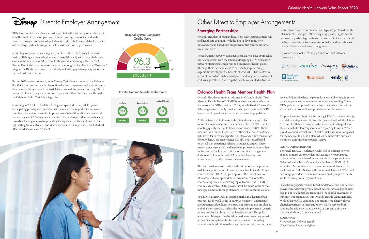#### Hospital Domain Specific Performance



the health system with the intent of designing OHN-concentric organizations will gain the benefits of what OHN has to offer in Recently, many network convener organizations have approached convener partners. network offerings to employers and progressive health plans. Through these new and creative partnerships, pioneering terms of immediate higher quality care and long-term, sustainable cost savings. Patients then reap the benefits of curated networks

#### **Orlando Health Team Member Health Plan**

Orlando Health is in regular discussions with insurers, employers live in and serve. with enhanced care coordination and typically preferred health plan benefits. Finally, OHN participating providers gain access to financially advantageous books of business in these narrowed high-performance networks — access that would not otherwise be available outside of network alignment. Emerging Partnerships and healthcare coalitions with the aim of developing new, innovative value-based care programs for the communities we

Below are some of OHN's aligned and potential network





Hospital System Composite is expected that even a greater portion of patients will receive their care through During 2020 open enrollment, more Disney Cast Members selected the Orlando Health Cast Advantage health plan option due to an expansion of the service area. Plan membership surpassed the 26,000 total covered lives mark. Entering 2021, it the Orlando Health Cast Advantage plan.

OHN has completed another successful year in its direct-to-employer relationship with The Walt Disney Company — the largest arrangement of its kind in the country. Through this partnership, Orlando Health is held accountable for quality and cost targets while bearing contractual risk based on its performance.

According to Quantros, a leading analytics firm utilized by Disney to evaluate quality, OHN again earned high marks in hospital quality with particularly high scores in the areas of mortality, complications and inpatient quality. The 96.3 Overall Hospital Care score ranks the system among an elite class in the "Excellent" category. OHN also performed exceedingly well with physician quality measures for the third year in a row.

> Orlando Health continues to advance its Orlando Health Team Member Health Plan (OHTMHP) toward an accountable care framework for OHN providers. Today, much like the Disney Cast Advantage network, only providers who participate with OHN have access to provide care to our team member population.

> As the network seeks to ensure the highest outcomes possible for our team members and their dependents, OHTMHP will be adopting quality metrics to track performance in 2021. These measures will mirror those used in other value-based contracts held by OHN to reduce reporting burden and ensure consistency for providers. Cost performance will also be assessed based on actual cost experience relative to budgeted targets. These performance results will be shared with primary care providers in the form of quality, cost, utilization and risk management dashboards, akin to those OHN providers have become accustomed to in other network arrangements.

towards achieving our goal of providing the right care, at the right time, in the provements in health quality outcomes and<br>provements in health quality outcomes and<br>centive payment to providers is another sta cost management. "Passing on an incentive payment to providers is another step right setting for our Disney Cast Members," says Dr. George Ralls, Chief Medical Beginning in 2021, OHN will be offering an expanded Disney ACO option. Participating primary care providers will be offered the opportunity to earn an incentive payment to reward for improvements in health quality outcomes and Officer and Senior Vice President.

> This increased focus on quality and cost performance promises to deliver superior results to our patients, families and colleagues covered by the OHTMHP plan options. The transition also ultimately will allow providers to earn incentives for better coordinating care and achieving top outcomes. As OHTMHP continues to evolve, OHN providers will be made aware of these new opportunities through standard network communications.

Finally, OHTMHP seeks to lead the market in advancing best practices for the well-being of our plan members. This means adopting network policies to ensure clinical standards are aligned with the latest research, such as the recently implemented genetic testing policies for obstetrics and heredity cancer. This policy was created by experts in the field to reduce unnecessary genetic testing. It accomplishes this by adding a genetic counseling requirement in addition to the already existing prior authorization

review. Policies like these help to reduce wasteful testing, improve patient experience and moderate unnecessary spending. These OHN policies and procedures are regularly updated and will be shared with network-aligned providers as implemented.

Keeping team members healthy during COVID-19 was a priority. The virtual visit platform became the quickest and safest solution to connect with team members who were required to perform at-home self-checks every day before reporting to work. We are proud to announce that over 13,000 virtual visits were completed for members of this health plan, which demonstrates our team members' commitment to patient safety.

#### *New ACO Announcement:*

For Fiscal Year 2021, Orlando Health will be offering network aligned primary care providers an exciting new opportunity to earn performance-based incentives via participation in the Orlando Health Team Member Health Plan (OHTMHP). As with other Accountable Care Organization models offered by the Orlando Health Network, this new model for OHTMHP will encourage providers to drive continuous quality improvements while reducing overall expenditures.

"Establishing a performance-based model to reward our network providers for delivering value-based outcomes was a logical next step in our health plan's journey and a thoughtful investment in our most important asset, our Orlando Health Team Members. We look forward to continued opportunities to align with our physician partners in these endeavors, which serve to both support the evidence-based delivery of care and ultimately improve the lives of those we serve."

*Karen Frenier Vice President, Orlando Health Chief Human Resources Officer* 

9



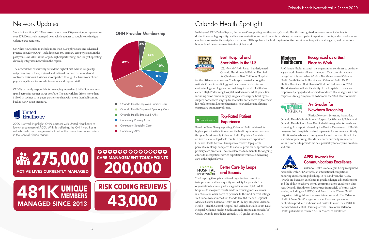#### Better Care by Leaps **LEAPFROG HOSPITAL** and Bounds SAFETY GRADE

The Leapfrog Group is a national organization committed to improving healthcare quality and safety for patients. The organization biannually releases grades for over 2,600 adult hospitals to recognize efforts made in reducing medical errors, infections and other harm to patients. In the most current ratings, "A" Grades were awarded to Orlando Health Orlando Regional Medical Center, Orlando Health Dr. P. Phillips Hospital, Orlando Health – Health Central Hospital and Orlando Health South Lake Hospital. Orlando Health South Seminole Hospital received a "B" Grade. Orlando Health has earned 30 "A" grades since 2015.

### A+ Grades for Newborn Screening

# Network Updates

Since its inception, OHN has grown more than 300 percent, now representing over 275,000 actively managed lives, which equates to roughly one in eight Orlando area residents.

OHN has now scaled to include more than 5,000 physicians and advanced practice providers (APP), including over 500 primary care physicians, in the past year. Now, OHN is the largest, highest performing, and longest operating clinically integrated network in the region.

## OHN Provider Membership OHN Provider Membership

#### Best Hospital and Specialties in the U.S.

The network has consistently earned the highest distinctions for quality, outperforming its local, regional and national peers across value-based contracts. This work has been accomplished through the hard work of our physicians, clinical teams, administrators and support staff.

OHN is currently responsible for managing more than \$1.4 billion in annual spend across its partner payer portfolio. The network has driven more than \$130M in savings to its payer partners to date, with more than half coming back to OHN as an incentive.

# United<br>Healthcare

# Orlando Health Spotlight

In this year's OHN Value Report, the network's supporting health system, Orlando Health, is recognized in several areas, including its distinctions as a high-quality healthcare organization, accomplishments in driving tremendous patient experience results, and accolades as an employer known for its workplace excellence. OHN applauds the health system for its commitment to quality in all regards, and the various honors listed here are a manifestation of that work.



*U.S. News & World Report* has designated Orlando Health Arnold Palmer Hospital for Children as a Best Children's Hospital

for the 11th consecutive year. The hospital ranked among the nation's 50 best in cardiology and heart surgery, diabetes and endocrinology, urology, and neonatology. Orlando Health also earned High Performing Hospital marks in nine adult specialties, including colon cancer surgery, lung cancer surgery, heart bypass surgery, aortic valve surgery, transcatheter aortic valve replacement, hip replacements, knee replacements, heart failure and chronic obstructive pulmonary disease.

# **P**PRESS GANEY

#### **Top-Rated Patient Experience**

#### Recognized as a Best Modern **Healthcare** Place to Work

As Orlando Health expands, the organization continues to cultivate a great workplace for all team members. That commitment was recognized this year when *Modern Healthcare* named Orlando Health South Seminole Hospital and Orlando Health Dr. P. Phillips Hospital as Best Places to Work in Healthcare for 2020. This designation reflects the ability of the hospitals to create an empowered, engaged and satisfied workforce. It also aligns with our corporate strategic imperative to become the "Best Place to Work."

#### FLORIDA-**NEWBORN** SCREENING

Florida Newborn Screening has ranked Orlando Health Winnie Palmer Hospital for Women & Babies and Orlando Health South Lake Hospital with A+ grades for newborn screening. In a report released by the Florida Department of Health program, both hospitals received top marks for accurate and timely collection of newborn screening samples and transport time to the state lab for processing. Florida newborns currently are screened for 57 disorders to provide the best possibility for early intervention and care.



Based on Press Ganey reporting, Orlando Health achieved its highest patient satisfaction scores the health system has ever seen this year. Most notably, Orlando Health Physician Associates achieved national top decile results in patient care experience. Orlando Health Medical Group also achieved top quartile percentile rankings compared to national peers for its specialty and primary care practices. These results are a testament to the ongoing efforts to meet patient service expectations while also delivering care at the highest levels.

2020 Network Highlight: OHN partners with United Healthcare to launch a commercial ACO. With this offering, the OHN now has a value-based care arrangement with all of the major insurance carriers in the Central Florida market. 

#### APEX Awards for Communications Excellence

Orlando Health is once again being recognized nationally with APEX awards, an international competition honoring excellence in publishing. In its 32nd year, the APEX Awards are based on excellence in graphic design, editorial content and the ability to achieve overall communications excellence. This year, Orlando Health won four awards from a field of nearly 1,200 entries, including an APEX Grand Award for its *Choose Health*  magazine, distinguishing it as an outstanding work. The Orlando Health *Choose Health* magazine is a wellness and prevention publication produced in-house and mailed to more than 150,000 households in Central Florida quarterly. Three other Orlando Health publications received APEX Awards of Excellence.

11



- Orlando Health Employed Primary Care
- Orlando Health Employed Specialty Care
- Orlando Health Employed APPs
- Community Primary Care
- Community Specialty Care
- Community APPs

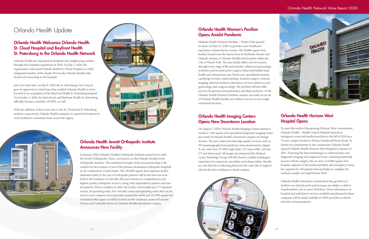# Orlando Health Update

#### Orlando Health Welcomes Orlando Health St. Cloud Hospital and Bayfront Health St. Petersburg to the Orlando Health Network

 integrated member of the family. Previously, Orlando Health held 20 percent ownership in the hospital. Orlando Health has expanded its footprint into neighboring markets through two hospital acquisitions in 2020. On July 1, 2020, the organization welcomed Orlando Health St. Cloud Hospital as a fully

Just a few days later, on July 9, 2020, the St. Petersburg City Council gave its approval on a land lease that enabled Orlando Health to move forward in its acquisition of the Bayfront Health St. Petersburg hospital. On October 1, 2020, the deal closed, and Bayfront Health St. Petersburg officially became a member of OHN, as well.

With the addition of these new sites in the St. Cloud and St. Petersburg markets, respectively, Orlando Health continues to expand its footprint to serve healthcare consumers from across the region.





#### Orlando Health Jewett Orthopedic Institute Announces New Facility

In January 2020, Orlando Health's Orthopedic Institute joined forces with the Jewett Orthopaedic Clinic, now known as the Orlando Health Jewett Orthopedic Institute. The combined strength of the new partnership is the catalyst for the creation of one of the premier destination orthopedic hospitals in the southeastern United States. The 195,000-square-foot inpatient facility dedicated solely to the care of orthopedic patients will be the first one of its kind in the Southeast. It will offer the most advanced, comprehensive and highest quality orthopedic services, along with unparalleled comfort and ease for patients. When complete in 2023, the facility will include up to 75 inpatient rooms, 20 operating suites, five virtually connected operating suites that can be used to train surgeons internationally around the world and 167,000 square feet of medical office space. It will be located on the southeast corner of Lucerne Terrace and Columbia Street on Orlando Health's downtown campus.

# Orlando Health Women's Pavilion Opens Amidst Pandemic

Orlando Health Women's Pavilion – Winter Park opened its doors on June 11, 2020, to provide a new healthcare experience exclusively for women. The 20,000-square-foot facility, located near the intersection of Fairbanks Avenue and Orlando Avenue, is Orlando Health's first location within the City of Winter Park. The new facility offers care for women through every stage of life and includes: adolescent gynecology, aesthetics and reconstructive surgery, behavioral health, bone health and osteoporosis care, breast care, specialized women's cardiology services, endocrinology, women's surgery, women's imaging, internal medicine, laboratory services, obstetrics and gynecology, and urogynecology. The pavilion will also offer services for genetics and pulmonary and sleep medicine. At the Orlando Health Women's Pavilion, women can easily access all of Orlando Health's health and wellness services in one single, convenient location.

#### **Orlando Health Imaging Centers Opens New Downtown Location**

On August 5, 2020, Orlando Health Imaging Centers opened a modern 7,520-square-foot specialized diagnostic imaging center just south of Orlando Health's downtown campus on Orange Avenue. The new center provides high quality services, such as 3D mammography/tomosynthesis, bone densitometry, digital X-ray, wide-bore 3T MRI, high-field 1.2T Open MRI, 128-slice CT and ultrasound. All images are interpreted by Medical Center Radiology Group (MCRG) board-certified radiologists experienced in numerous specialties and subspecialties. Results are sent directly to referring physicians the same day to support clinical decision-making in a timely manner.



#### Orlando Health Horizon West Hospital Opens

To meet the needs of the growing Horizon West communities, Orlando Health – Health Central Hospital opened an emergency room and medical pavilion in the fall of 2018 on a 74-acre campus located in Winter Garden off Porter Road. To further its commitment to this community, Orlando Health opened Orlando Health Horizon West Hospital in January of 2021. Featuring the latest technology in cardiovascular care, diagnostic imaging and surgical services, including minimally invasive robotic surgery, the six-story, 214,000-square-foot hospital, adjacent to the medical pavilion and emergency room, has capacity for 120 patient beds and helps to complete the medical complex serving Horizon West.

Orlando Health Network is excited about this growth as it furthers our clinical reach and increases our ability to deliver transformative care to more Floridians. More information on hospital and ambulatory services available and planned at these campuses will be made available to OHN providers in future network communications.

#### Orlando Health Network Value Report 2020

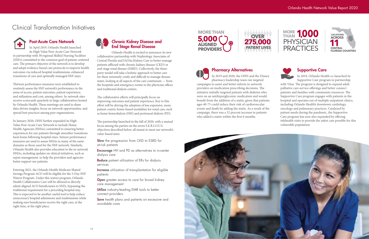## Clinical Transformation Initiatives



#### Post-Acute Care Network

In April 2019, Orlando Health launched its High Value Post-Acute Care Network in partnership with 30 regional Skilled Nursing Facilities (SNFs) committed to the common goal of patient-centered care. The primary objective of the network is to develop and adopt evidence-based care protocols to improve health outcomes via reduced hospital readmissions, enhanced transitions of care and optimally managed SNF stays.

Thirteen performance measures were established to routinely assess the SNF network's performance in the areas of access, patient outcomes, patient experience, and utilization and cost, among others. In-network sites receive scorecards quarterly in large collaboratives hosted by Orlando Health. These meetings are used to share data-driven insights, focus on network opportunities, and spread best practices among peer organizations.

 making sure beneficiaries receive the right care, at the Entering 2021, the Orlando Health Medicare Shared Savings Program ACO will be eligible for the 3-Day SNF Waiver Program. Under this waiver program, Orlando Health Collaborative Care will be allowed to directly admit aligned ACO beneficiaries to SNFs, bypassing the traditional requirement for a preceding hospital stay. This is expected to be another useful tool to help reduce unnecessary hospital admissions and readmissions while right time, at the right place.



# Chronic Kidney Disease and<br>End Stage Renal Disease

In January 2020, OHN further expanded its High Value Post-Acute Care Network to include Home Health Agencies (HHAs) committed to ensuring better experiences for our patients through smoother transitions back home following hospital stays. Sixteen performance measures are used to assess HHAs in many of the same domains as those used for the SNF network. Similarly, Orlando Health also provides education to the in-network HHAs, including updates on clinical initiatives, such as sepsis management, to help the providers and agencies better support our patients.

and traditional dialysis centers. Orlando Health is excited to announce its new collaborative partnership with Nephrology Associates of Central Florida and DaVita Kidney Care to better manage patients afflicted with chronic kidney disease (CKD) or end-stage renal disease (ESRD). Collectively, the threeparty model will take a holistic approach to better care for these extremely costly and difficult to manage disease states, looking at all aspects of the care continuum — from the hospitals and emergency rooms to the physician offices

The collaborative efforts will principally focus on improving outcomes and patient experience. Key to this effort will be driving the adoption of less expensive, more patient-centric home-based modalities for renal care, such as home hemodialysis (HH) and peritoneal dialysis (PD).

**Encourage** HH and PD as alternatives to in-center dialysis care

Reduce patient utilization of ERs for dialysis services

Increase utilization of transplantation for eligible patients

**Open** greater access to care for broad kidney care management

Utilize industry-leading EMR tools to better connect providers

Save health plans and patients on excessive and avoidable costs

**MORE THAN 5,000 ALIGNED PROVIDERS** ١

The partnership launched in the fall of 2020, with a mutual focus among the parties on the seven S.E.R.I.O.U.S. objectives described below, all meant to meet our network's value-based aims:

**Slow** the progression from CKD to ESRD for<br>at-risk patients



### Pharmacy Alternatives

In 2019 and 2020, the OHN and the Disney pharmacy leadership team ran targeted

campaigns to assist and better inform in-network providers on medication prescribing decisions. The initiative initially targeted patients with diabetes who were on an antihyperglycemic medication and would benefit from the addition of a statin, given that patients ages 40-75 could reduce their risk of cardiovascular events and death by adding the statin. As a result of the campaign, there was a 32 percent increase in patients who added a statin within the first 6 months.









#### Supportive Care

In 2019, Orlando Health co-launched its Supportive Care program in partnership with Vitas. The program is designed to expand adult palliative care service offerings and better connect patients and families with community resources. The Supportive Care program engages with patients in the hospital and operates out of multiple outpatient clinics, including Orlando Health's downtown cardiology, oncology and pulmonary practices. Catalyzed by patient needs during the pandemic, the Supportive Care program has now also expanded by offering telehealth visits to provide the safest care possible for this vulnerable population.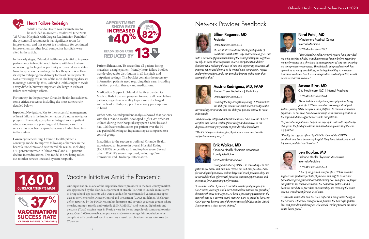#### Orlando Health Network Value Report 2020





#### Heart Failure Redesign

ort to a motivator re<br>al competitor bospit **SHOW RATE:** In the extide to cal competitor hospitals were While Orlando Health was fortunate not to be included in *Modern Healthcare's* June 2020 "25 Urban Hospitals with Largest Readmission Penalties," the system still recognizes it has significant room for improvement, and this report is a motivator for continued cited in the article.

**4** Ith saw potentia<br>ssions, with hear<br>nity across all di cited in the article.<br>In the early stages, Orlando Health saw potential to improve performance in hospital readmissions, with heart failure representing the largest opportunity across all disease states. Now two years in the making, the health system is well on its way to reshaping care delivery for heart failure patients. Not surprisingly, this is one of the most challenging diseases to manage nationally; thus, Orlando Health sought to tackle a very difficult, but very important challenge in its heart failure care redesign efforts.

Fortunately, in the past year, Orlando Health has achieved some critical successes including the most noteworthy detailed below:

Patient Education. To streamline all patient-facing materials, a single patient-friendly heart failure booklet was developed for distribution in all hospitals and outpatient settings. This booklet contains the necessary information patients need regarding their care, including nutrition, physical therapy and medications.

**Inpatient Navigators.** Key to the successful management of heart failure is the implementation of a nurse navigator program. The navigators play an integral role in patient education, resource planning and follow-up care. This service has now been expanded across all adult hospitals in the system.

**Concierge Scheduling.** Orlando Health piloted a concierge model to improve follow-up adherence in the heart failure clinics and saw incredible results, including a 40 percent increase in "show rates" and a 13 percent decline in readmissions. This model is now being rolled out to other service lines and system hospitals.



# **REDUCED BY SERVICE CONTRACT SERVICE SERVICE SERVICE SERVICE SERVICE SERVICE SERVICE SERVICE SERVICE SERVICE SERVICE SERVICE SERVICE SERVICE SERVICE SERVICE SERVICE SERVICE SERVICE SERVICE SERVICE SERVICE SERVICE SERVICE S** Network Provider Feedback

**Medication Support.** Orlando Health expanded its Meds to Beds inpatient program to ensure all heart failure patients, regardless of ability to pay, were discharged with at least a 30-day supply of necessary prescriptions in hand.

**Order Sets.** An independent analysis showed that patients with the Orlando Health-developed *Right Care* order set utilized during their hospital stay spent \$4,800 less and had 1.26 fewer readmissions per patient over the 90 day period following an inpatient stay as compared to a control group.

In addition to the successes outlined, Orlando Health experienced an increase in overall Hospital Rating (HCAHPS) percentile rank and top box score. Several other HCAHPS scores improved, including Care Transitions and Discharge Information.





## Vaccine Initiative Amid the Pandemic

Our organization, as one of the largest healthcare providers in the four-county market, was approached by the Florida Department of Health (FDOH) to launch an initiative to bring school-age patients who were overdue for recommended vaccinations up to date as per Centers for Disease Control and Prevention (CDC) guidelines. The largest deficit reported by the FDOH was in kindergarten and seventh grade age groups where measles, mumps, rubella and varicella (MMR/MMRV) and tetanus, diphtheria and pertussis (Tdap) vaccine rates in Florida were far below target levels compared to prior years. Over 1,600 outreach attempts were made to encourage this population to be compliant with continued vaccinations. As a result, vaccination success rates rose by 37 percent.

Lillian Reguero, MD



*OHN Member since 2015* 

*"As we all strive to deliver the highest quality of healthcare, what better way to achieve our goals but* 

*with a network of physicians sharing the same philosophy? Together, we rely on each other's expertise to serve our patients and their families while reducing the cost of care and improving outcomes. All patients expect and deserve to be treated with compassion, respect and professionalism, and I am proud to be part of this team that exemplifies that."* 

#### Austria Rodriguez, MD, FAAP



*OHN Member since 2019* 

*"Some of the key benefits to joining OHN have been the ability to extend our reach more broadly to the* 

*surrounding community and the ability to provide service to more individuals.* 

*"As a clinically integrated network member, I have become PCMH certified and have a wealth of knowledge and resources at my disposal, increasing my ability to provide value-based care.* 

*"The OHN representatives give physicians a voice and provide support in so many ways."* 



#### Erik Walker, MD

Orlando Health Physician Associates Family Medicine

*OHN Member since 2013* 

*"Being a member of OHN is so rewarding. For our patients, we know that they will receive the best care possible. And, for our aligned providers, both in large and small practices, they are rewarded for their efforts with fantastic contract opportunities and incentives for outstanding performance.* 

*"Orlando Health Physician Associates was the first group to join OHN seven years ago, and I have been able to witness the growth of the network since its inception. As both a practicing physician in the network and as a current board member, I am so proud to have seen OHN grow to become one of the most successful CINs in the United States in such a short period of time."* 

#### Niral Patel, MD

Windermere Medical Center Internal Medicine *OHN Member since 2017* 

*"The Orlando Health Network reports have provided me with insights, which I would have never known before, regarding my performance as a physician in managing cost of care and ensuring we close preventive care gaps. The clinically integrated network has opened up so many possibilities, including the ability to earn new insurance contracts that I, as an independent medical practice, would never have access to alone."* 



#### Aasma Riaz, MD

City Healthcare, LLC | Internal Medicine *OHN Member since 2018* 

*"As an independent primary care physician, being part of OHN has meant access to a great support* 

*system. Joining OHN has given me a platform to connect with other physicians in the area, build a relationship with various specialists in the region and thus, offer better care to our patients.* 

*"My membership also has helped me stay up to date with day-to-day changes in the field of medicine and aided in implementing these in my practice.* 

*"Finally, the support offered by OHN in times of the COVID pandemic has been immensely helpful. They have helped keep us all informed, updated and involved."* 



#### Ben Kaplan, MD

Orlando Health Physician Associates Internal Medicine

*OHN Member since 2013* 

*"One of the greatest benefits of OHN has been the support and guidance for both physicians and staff to ensure our patients are getting the best care at the best price. Too often, we forget our patients are consumers within the healthcare system, and it becomes our duty as providers to ensure they are receiving the same care we would want for our loved ones.* 

*"This leads to the idea that the most important thing about being in the network is that you can offer your patients the best high-quality, low-cost providers in the region who are all working toward the same value-based goals."*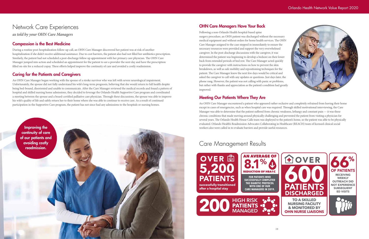

## Network Care Experiences

*as told by your OHN Care Managers* 

#### Compassion is the Best Medicine

During a routine post-hospitalization follow-up call, an OHN Care Manager discovered her patient was at risk of another hospitalization if she didn't receive additional assistance. Due to cost barriers, the patient also had not filled her antibiotics prescription. Similarly, the patient had not scheduled a post-discharge follow up appointment with her primary care physician. The OHN Care Manager jumped into action and scheduled an appointment for the patient to see a provider the next day and have the prescription filled on-site for a reduced copay. These efforts helped improve the continuity of care and avoided a costly readmission.

#### Caring for the Patients and Caregivers

An OHN Care Manager began working with the spouse of a stroke survivor who was left with severe neurological impairment. Unfortunately, the spouse did not fully understand his wife's long-term prognosis, believing that she would return to full health despite being bed-bound, disoriented and unable to communicate. After the Care Manager reviewed the medical records and found a pattern of hospital and skilled nursing home admissions, they decided to leverage the Orlando Health Supportive Care program and coordinated a meeting between the spouse and a board-certified palliative care physician. Through these discussions, the spouse was able to improve his wife's quality of life and safely return her to their home where she was able to continue to receive care. As a result of continued participation in the Supportive Care program, the patient has not since had any admissions to the hospitals or nursing homes.



### OHN Care Managers Have Your Back

Following a non-Orlando Health hospital-based spine surgery procedure, an OHN patient was discharged without the necessary medical equipment and without orders for home health services. The OHN Care Manager assigned to the case stepped in immediately to ensure the necessary resources were provided and support the very overwhelmed caregiver. In the post-discharge discussions with the caregiver, it was determined the patient was beginning to develop a bedsore on their lower back from extended periods of bed rest. The Care Manager acted quickly to provide the caregiver with instructions on how to prevent the skin breakdown, as well as safe mobility and repositioning techniques for the patient. The Care Manager knew the next few days would be critical and asked the caregiver to call with any updates or questions. Just days later, the phone rang. However, the patient was not calling with panic or problems, but rather with thanks and appreciation as the patient's condition had greatly improved.

#### Meeting Our Patients Where They Are

An OHN Care Manager encountered a patient who appeared rather reclusive and completely refrained from leaving their home except in cases of emergencies, such as when hospital care was required. Through skilled motivational interviewing, the Care Manager was able to determine that the patient suffered from chronic weakness, lethargy and constant pain — it was these chronic conditions that made moving around physically challenging and prevented the patient from visiting a physician for several years. The Orlando Health House Calls team was deployed to the patient's home, so the patient was able to be physically evaluated. Orlando Health's Readmission Advocates Collaborating in Healthcare (REACH) team of licensed clinical social workers also were called in to evaluate barriers and provide useful resources.

# Care Management Results



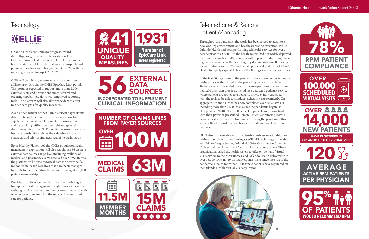# **Technology**

# **CONTENT**



Orlando Health continues to progress toward its multiphase go-live schedule for its new Epic Comprehensive Health Record (CHR), known in the health system as ELLiE. The first wave of hospitals and physician practices went live January 30, 2021, with the second go-live set for April 24, 2021.

OHN will be offering system access to its community affiliate providers via the CHR's EpicCare Link portal. This portal is expected to support more than 2,000 external users and provide enhanced referral and ordering capabilities, along with improved reporting tools. The platform will also allow providers to attest to close care gaps for quality measures.

As an added benefit of the CHR, historical payer claims data will be included in the provider workflow to supplement clinical data for quality measures, risk coding tracking, utilization oversight and general decision-making. The CHR's quality measures have also been custom-built to mirror the value-based care contracts and offer useful, near real-time dashboards.

**18 6 DATA<br>
INCORPORATED TO SUPPLEMENT EXTERNAL DATA** SOURCES CLINICAL INFORMATION

Epic's Healthy Planet tool, the CHR's population health management application, will also warehouse 56 discrete external data sources at go-live, including millions of medical and pharmacy claims received over time. In total, the platform will house historical data for nearly half a million value-based care lives that have been managed by OHN to date, including the actively managed 275,000 patient membership.

Providers can leverage the Healthy Planet tools to glean in-depth clinical management insights, more efficiently exchange and access data, and better coordinate care with other system users for all of the network's value-based care for patients.



NUMBER OF CLAIMS LINES FROM PAYER SOURCES

**100M OVER** 

**63M MEDICAL CLAIMS** 



# Telemedicine & Remote Patient Monitoring

Throughout the pandemic, the world has been forced to adapt to a new working environment, and healthcare was no exception. While Orlando Health had been performing telehealth services for over a decade prior to COVID-19, the health system had not widely deployed consumer-facing telehealth solutions within practices due to significant regulatory barriers. With the emergency declaration came the easing of former restrictions by CMS and private payers alike, allowing Orlando Health to rapidly expand its telehealth offerings across all service lines.

In the first 30 days alone of the pandemic, the system conducted more telehealth visits than it had in the preceding two years combined. Today, we now have scaled our virtual care operations to cover more than 200 physician practices, including a dedicated pediatric service where patients are routed to a pediatric provider, fully equipped with the tools to be able to conduct telehealth visits seamlessly. On aggregate, Orlando Health has now completed over 100,000 visits, including more than 21,000 visits since the pandemic began (as of September 2020). Nearly 80 percent of patients were compliant with their provider-prescribed Remote Patient Monitoring (RPM) devices used to provide continuous care during the pandemic. This was another low-cost, high-tech solution to deliver great care to our patients.

OHN also has been able to form extensive business relationships for telehealth services to assist during COVID-19, including partnerships with Major League Soccer, Orlando Utilities Commission, Valencia College and the University of Central Florida, among others. These organizations asked the health system to offer on-demand Virtual Visit services to their workforces, and Orlando Health delivered with over 13,000 COVID-19 Virtual Response Visits since the start of the pandemic. Finally, more than 14,000 new patients have registered on the Orlando Health Virtual Visit application.



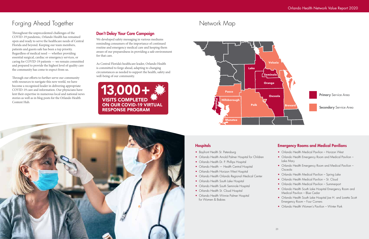

#### **Hospitals**

# Forging Ahead Together

Throughout the unprecedented challenges of the COVID-19 pandemic, Orlando Health has remained open and ready to serve the healthcare needs of Central Florida and beyond. Keeping our team members, patients and guests safe has been a top priority. Regardless of medical need — whether providing essential surgical, cardiac or emergency services, or caring for COVID-19 patients — we remain committed and prepared to provide the highest level of quality care the community has come to expect from us.

> 13,000+ **VISITS COMPLETED** ON OUR COVID-19 VIRTUAL RESPONSE PROGRAM



Through our efforts to further serve our community with resources to navigate this new world, we have become a recognized leader in delivering appropriate COVID-19 care and information. Our physicians have lent their expertise in numerous local and national news stories as well as in blog posts for the Orlando Health Content Hub.

- Bayfront Health St. Petersburg
- Orlando Health Arnold Palmer Hospital for Children
- Orlando Health Dr. P. Phillips Hospital
- Orlando Health Health Central Hospital
- Orlando Health Horizon West Hospital
- Orlando Health Orlando Regional Medical Center
- Orlando Health South Lake Hospital
- Orlando Health South Seminole Hospital
- Orlando Health St. Cloud Hospital
- Orlando Health Winnie Palmer Hospital for Women & Babies

### Don't Delay Your Care Campaign

We developed safety messaging in various mediums reminding consumers of the importance of continued routine and emergency medical care and keeping them aware of our preparedness in providing a safe environment for that care.

As Central Florida's healthcare leader, Orlando Health is committed to forge ahead, adapting to changing circumstances as needed to support the health, safety and well-being of our community.

## Network Map

#### Emergency Rooms and Medical Pavilions

- Orlando Health Medical Pavilion Horizon West
- Orlando Health Emergency Room and Medical Pavilion -Lake Mary
- Orlando Health Emergency Room and Medical Pavilion -**Osceola**
- Orlando Health Medical Pavilion Spring Lake
- Orlando Health Medical Pavilion St. Cloud
- Orlando Health Medical Pavilion Summerport
- Orlando Health South Lake Hospital Emergency Room and Medical Pavilion – Blue Cedar
- Orlando Health South Lake Hospital Joe H. and Loretta Scott Emergency Room – Four Corners
- Orlando Health Women's Pavilion Winter Park